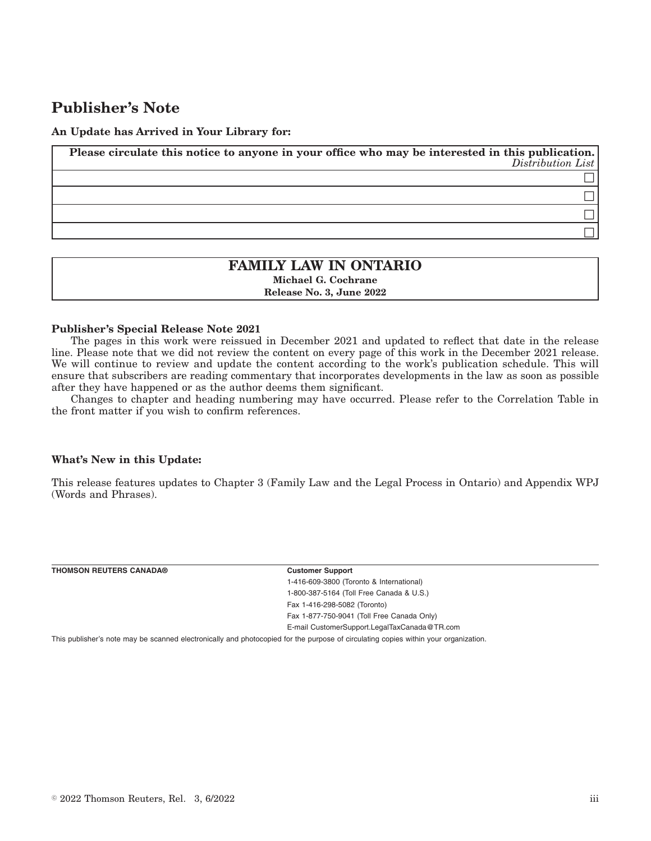# **Publisher's Note**

#### **An Update has Arrived in Your Library for:**

**Please circulate this notice to anyone in your office who may be interested in this publication.** *Distribution List*  $\Box$  $\Box$  $\Box$  $\Box$ 

### **FAMILY LAW IN ONTARIO Michael G. Cochrane Release No. 3, June 2022**

#### **Publisher's Special Release Note 2021**

The pages in this work were reissued in December 2021 and updated to reflect that date in the release line. Please note that we did not review the content on every page of this work in the December 2021 release. We will continue to review and update the content according to the work's publication schedule. This will ensure that subscribers are reading commentary that incorporates developments in the law as soon as possible after they have happened or as the author deems them significant.

Changes to chapter and heading numbering may have occurred. Please refer to the Correlation Table in the front matter if you wish to confirm references.

#### **What's New in this Update:**

This release features updates to Chapter 3 (Family Law and the Legal Process in Ontario) and Appendix WPJ (Words and Phrases).

| <b>THOMSON REUTERS CANADA®</b> | <b>Customer Support</b>                                                                                                             |  |
|--------------------------------|-------------------------------------------------------------------------------------------------------------------------------------|--|
|                                | 1-416-609-3800 (Toronto & International)                                                                                            |  |
|                                | 1-800-387-5164 (Toll Free Canada & U.S.)                                                                                            |  |
|                                | Fax 1-416-298-5082 (Toronto)                                                                                                        |  |
|                                | Fax 1-877-750-9041 (Toll Free Canada Only)                                                                                          |  |
|                                | E-mail CustomerSupport.LegalTaxCanada@TR.com                                                                                        |  |
|                                | This publisher's note may be scanned electronically and photocopied for the purpose of circulating copies within your organization. |  |